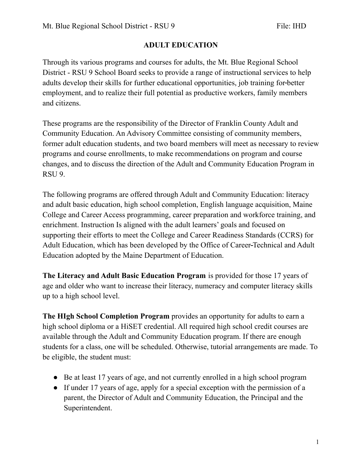## **ADULT EDUCATION**

Through its various programs and courses for adults, the Mt. Blue Regional School District - RSU 9 School Board seeks to provide a range of instructional services to help adults develop their skills for further educational opportunities, job training for better employment, and to realize their full potential as productive workers, family members and citizens.

These programs are the responsibility of the Director of Franklin County Adult and Community Education. An Advisory Committee consisting of community members, former adult education students, and two board members will meet as necessary to review programs and course enrollments, to make recommendations on program and course changes, and to discuss the direction of the Adult and Community Education Program in RSU 9.

The following programs are offered through Adult and Community Education: literacy and adult basic education, high school completion, English language acquisition, Maine College and Career Access programming, career preparation and workforce training, and enrichment. Instruction Is aligned with the adult learners' goals and focused on supporting their efforts to meet the College and Career Readiness Standards (CCRS) for Adult Education, which has been developed by the Office of Career Technical and Adult Education adopted by the Maine Department of Education.

**The Literacy and Adult Basic Education Program** is provided for those 17 years of age and older who want to increase their literacy, numeracy and computer literacy skills up to a high school level.

**The HIgh School Completion Program** provides an opportunity for adults to earn a high school diploma or a HiSET credential. All required high school credit courses are available through the Adult and Community Education program. If there are enough students for a class, one will be scheduled. Otherwise, tutorial arrangements are made. To be eligible, the student must:

- Be at least 17 years of age, and not currently enrolled in a high school program
- If under 17 years of age, apply for a special exception with the permission of a parent, the Director of Adult and Community Education, the Principal and the Superintendent.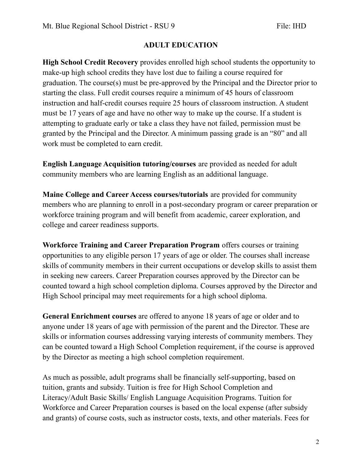## **ADULT EDUCATION**

**High School Credit Recovery** provides enrolled high school students the opportunity to make-up high school credits they have lost due to failing a course required for graduation. The course(s) must be pre-approved by the Principal and the Director prior to starting the class. Full credit courses require a minimum of 45 hours of classroom instruction and half-credit courses require 25 hours of classroom instruction. A student must be 17 years of age and have no other way to make up the course. If a student is attempting to graduate early or take a class they have not failed, permission must be granted by the Principal and the Director. A minimum passing grade is an "80" and all work must be completed to earn credit.

**English Language Acquisition tutoring/courses** are provided as needed for adult community members who are learning English as an additional language.

**Maine College and Career Access courses/tutorials** are provided for community members who are planning to enroll in a post-secondary program or career preparation or workforce training program and will benefit from academic, career exploration, and college and career readiness supports.

**Workforce Training and Career Preparation Program** offers courses or training opportunities to any eligible person 17 years of age or older. The courses shall increase skills of community members in their current occupations or develop skills to assist them in seeking new careers. Career Preparation courses approved by the Director can be counted toward a high school completion diploma. Courses approved by the Director and High School principal may meet requirements for a high school diploma.

**General Enrichment courses** are offered to anyone 18 years of age or older and to anyone under 18 years of age with permission of the parent and the Director. These are skills or information courses addressing varying interests of community members. They can be counted toward a High School Completion requirement, if the course is approved by the Director as meeting a high school completion requirement.

As much as possible, adult programs shall be financially self-supporting, based on tuition, grants and subsidy. Tuition is free for High School Completion and Literacy/Adult Basic Skills/ English Language Acquisition Programs. Tuition for Workforce and Career Preparation courses is based on the local expense (after subsidy and grants) of course costs, such as instructor costs, texts, and other materials. Fees for